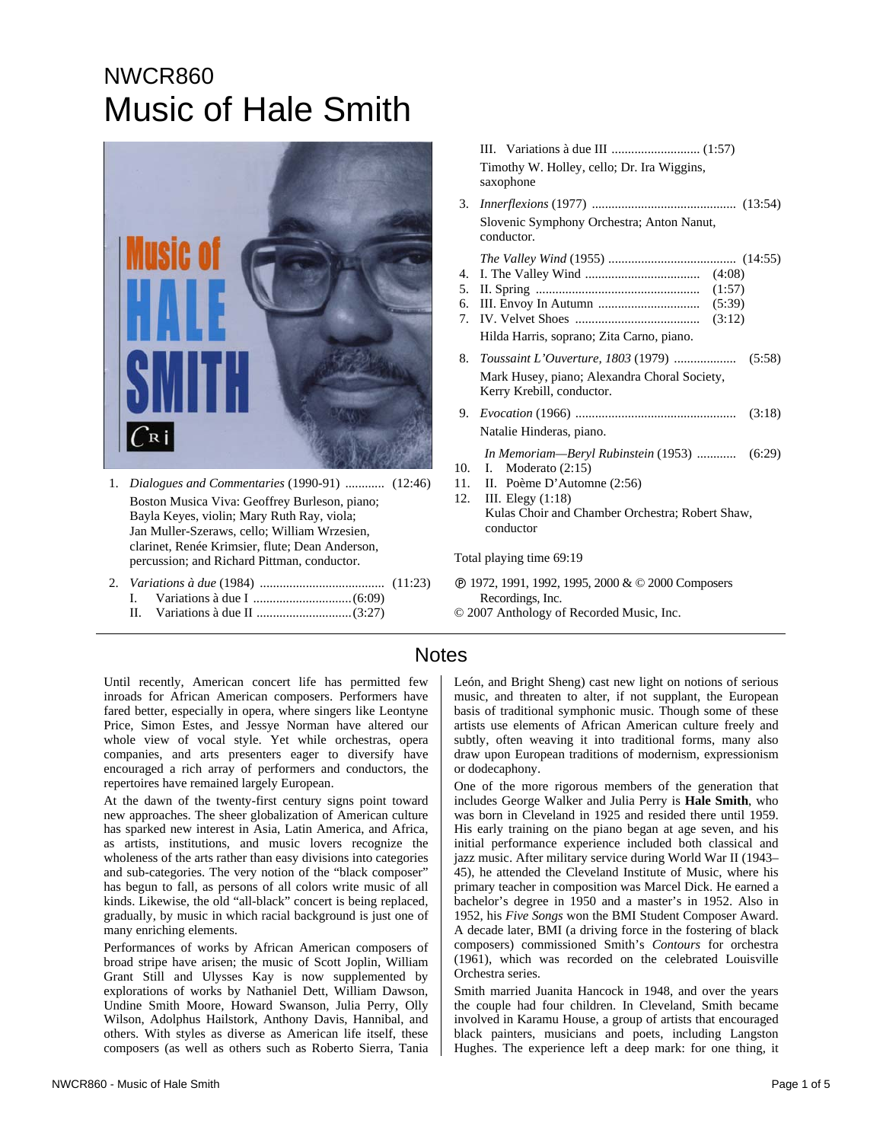# NWCR860 Music of Hale Smith



- 1. *Dialogues and Commentaries* (1990-91) ............ (12:46) Boston Musica Viva: Geoffrey Burleson, piano; Bayla Keyes, violin; Mary Ruth Ray, viola; Jan Muller-Szeraws, cello; William Wrzesien, clarinet, Renée Krimsier, flute; Dean Anderson, percussion; and Richard Pittman, conductor.
- 2. *Variations à due* (1984) ...................................... (11:23) I. Variations à due I ..............................(6:09)
	- II. Variations à due II .............................(3:27)

 III. Variations à due III ........................... (1:57) Timothy W. Holley, cello; Dr. Ira Wiggins, saxophone

- 3. *Innerflexions* (1977) ............................................ (13:54) Slovenic Symphony Orchestra; Anton Nanut, conductor.
- *The Valley Wind* (1955) ....................................... (14:55)
- 4. I. The Valley Wind ................................... (4:08)
- 5. II. Spring .................................................. (1:57) 6. III. Envoy In Autumn ............................... (5:39)
- 7. IV. Velvet Shoes ...................................... (3:12)

- 9. *Evocation* (1966) ................................................. (3:18) Natalie Hinderas, piano.
	- *In Memoriam—Beryl Rubinstein* (1953) ............ (6:29)
- 10. I. Moderato (2:15)
- 11. II. Poème D'Automne (2:56)
- 12. III. Elegy (1:18) Kulas Choir and Chamber Orchestra; Robert Shaw, conductor

Total playing time 69:19

- Ê 1972, 1991, 1992, 1995, 2000 & © 2000 Composers Recordings, Inc.
- © 2007 Anthology of Recorded Music, Inc.

### Notes

Until recently, American concert life has permitted few inroads for African American composers. Performers have fared better, especially in opera, where singers like Leontyne Price, Simon Estes, and Jessye Norman have altered our whole view of vocal style. Yet while orchestras, opera companies, and arts presenters eager to diversify have encouraged a rich array of performers and conductors, the repertoires have remained largely European.

At the dawn of the twenty-first century signs point toward new approaches. The sheer globalization of American culture has sparked new interest in Asia, Latin America, and Africa, as artists, institutions, and music lovers recognize the wholeness of the arts rather than easy divisions into categories and sub-categories. The very notion of the "black composer" has begun to fall, as persons of all colors write music of all kinds. Likewise, the old "all-black" concert is being replaced, gradually, by music in which racial background is just one of many enriching elements.

Performances of works by African American composers of broad stripe have arisen; the music of Scott Joplin, William Grant Still and Ulysses Kay is now supplemented by explorations of works by Nathaniel Dett, William Dawson, Undine Smith Moore, Howard Swanson, Julia Perry, Olly Wilson, Adolphus Hailstork, Anthony Davis, Hannibal, and others. With styles as diverse as American life itself, these composers (as well as others such as Roberto Sierra, Tania León, and Bright Sheng) cast new light on notions of serious music, and threaten to alter, if not supplant, the European basis of traditional symphonic music. Though some of these artists use elements of African American culture freely and subtly, often weaving it into traditional forms, many also draw upon European traditions of modernism, expressionism or dodecaphony.

One of the more rigorous members of the generation that includes George Walker and Julia Perry is **Hale Smith**, who was born in Cleveland in 1925 and resided there until 1959. His early training on the piano began at age seven, and his initial performance experience included both classical and jazz music. After military service during World War II (1943– 45), he attended the Cleveland Institute of Music, where his primary teacher in composition was Marcel Dick. He earned a bachelor's degree in 1950 and a master's in 1952. Also in 1952, his *Five Songs* won the BMI Student Composer Award. A decade later, BMI (a driving force in the fostering of black composers) commissioned Smith's *Contours* for orchestra (1961), which was recorded on the celebrated Louisville Orchestra series.

Smith married Juanita Hancock in 1948, and over the years the couple had four children. In Cleveland, Smith became involved in Karamu House, a group of artists that encouraged black painters, musicians and poets, including Langston Hughes. The experience left a deep mark: for one thing, it

Hilda Harris, soprano; Zita Carno, piano. 8. *Toussaint L'Ouverture, 1803* (1979) ................... (5:58) Mark Husey, piano; Alexandra Choral Society, Kerry Krebill, conductor.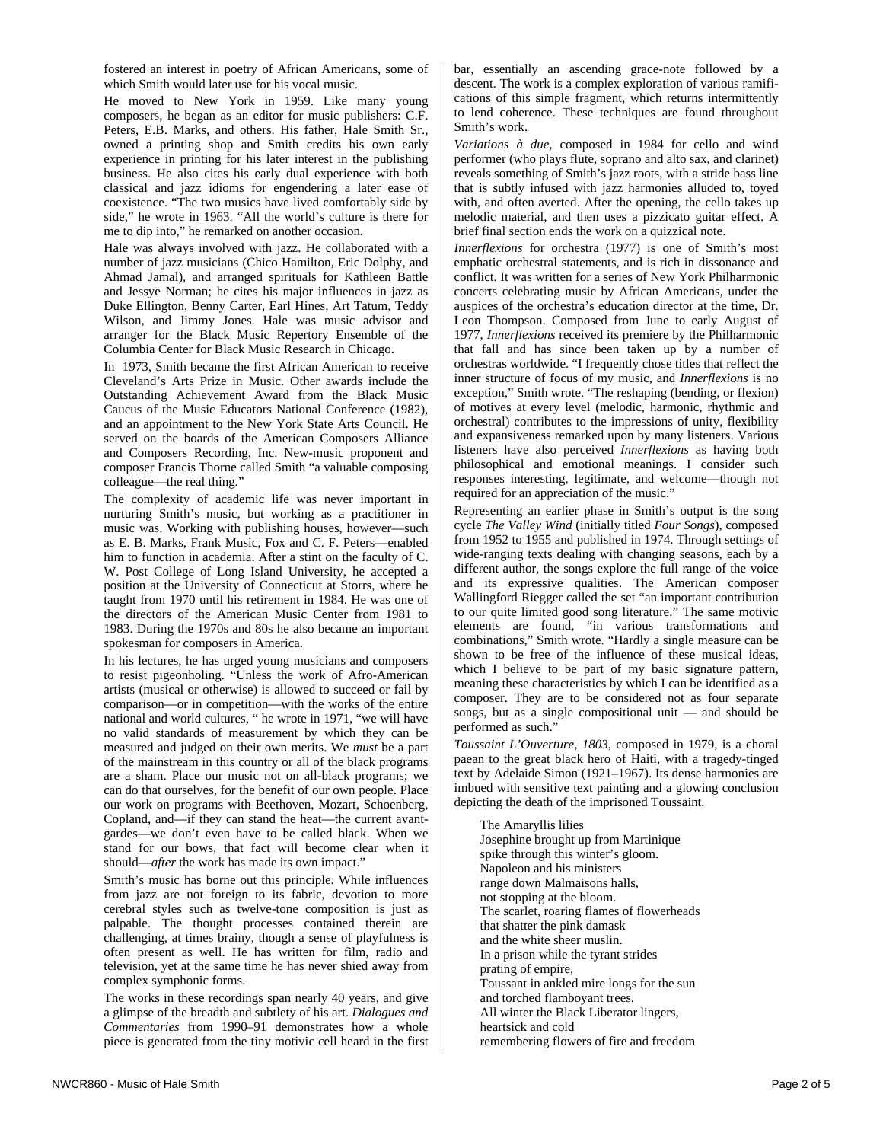He moved to New York in 1959. Like many young composers, he began as an editor for music publishers: C.F. Peters, E.B. Marks, and others. His father, Hale Smith Sr., owned a printing shop and Smith credits his own early experience in printing for his later interest in the publishing business. He also cites his early dual experience with both classical and jazz idioms for engendering a later ease of coexistence. "The two musics have lived comfortably side by side," he wrote in 1963. "All the world's culture is there for me to dip into," he remarked on another occasion.

Hale was always involved with jazz. He collaborated with a number of jazz musicians (Chico Hamilton, Eric Dolphy, and Ahmad Jamal), and arranged spirituals for Kathleen Battle and Jessye Norman; he cites his major influences in jazz as Duke Ellington, Benny Carter, Earl Hines, Art Tatum, Teddy Wilson, and Jimmy Jones. Hale was music advisor and arranger for the Black Music Repertory Ensemble of the Columbia Center for Black Music Research in Chicago.

In 1973, Smith became the first African American to receive Cleveland's Arts Prize in Music. Other awards include the Outstanding Achievement Award from the Black Music Caucus of the Music Educators National Conference (1982), and an appointment to the New York State Arts Council. He served on the boards of the American Composers Alliance and Composers Recording, Inc. New-music proponent and composer Francis Thorne called Smith "a valuable composing colleague—the real thing."

The complexity of academic life was never important in nurturing Smith's music, but working as a practitioner in music was. Working with publishing houses, however—such as E. B. Marks, Frank Music, Fox and C. F. Peters—enabled him to function in academia. After a stint on the faculty of C. W. Post College of Long Island University, he accepted a position at the University of Connecticut at Storrs, where he taught from 1970 until his retirement in 1984. He was one of the directors of the American Music Center from 1981 to 1983. During the 1970s and 80s he also became an important spokesman for composers in America.

In his lectures, he has urged young musicians and composers to resist pigeonholing. "Unless the work of Afro-American artists (musical or otherwise) is allowed to succeed or fail by comparison—or in competition—with the works of the entire national and world cultures, " he wrote in 1971, "we will have no valid standards of measurement by which they can be measured and judged on their own merits. We *must* be a part of the mainstream in this country or all of the black programs are a sham. Place our music not on all-black programs; we can do that ourselves, for the benefit of our own people. Place our work on programs with Beethoven, Mozart, Schoenberg, Copland, and—if they can stand the heat—the current avantgardes—we don't even have to be called black. When we stand for our bows, that fact will become clear when it should—*after* the work has made its own impact."

Smith's music has borne out this principle. While influences from jazz are not foreign to its fabric, devotion to more cerebral styles such as twelve-tone composition is just as palpable. The thought processes contained therein are challenging, at times brainy, though a sense of playfulness is often present as well. He has written for film, radio and television, yet at the same time he has never shied away from complex symphonic forms.

The works in these recordings span nearly 40 years, and give a glimpse of the breadth and subtlety of his art. *Dialogues and Commentaries* from 1990–91 demonstrates how a whole piece is generated from the tiny motivic cell heard in the first bar, essentially an ascending grace-note followed by a descent. The work is a complex exploration of various ramifications of this simple fragment, which returns intermittently to lend coherence. These techniques are found throughout Smith's work.

*Variations à due*, composed in 1984 for cello and wind performer (who plays flute, soprano and alto sax, and clarinet) reveals something of Smith's jazz roots, with a stride bass line that is subtly infused with jazz harmonies alluded to, toyed with, and often averted. After the opening, the cello takes up melodic material, and then uses a pizzicato guitar effect. A brief final section ends the work on a quizzical note.

*Innerflexions* for orchestra (1977) is one of Smith's most emphatic orchestral statements, and is rich in dissonance and conflict. It was written for a series of New York Philharmonic concerts celebrating music by African Americans, under the auspices of the orchestra's education director at the time, Dr. Leon Thompson. Composed from June to early August of 1977, *Innerflexions* received its premiere by the Philharmonic that fall and has since been taken up by a number of orchestras worldwide. "I frequently chose titles that reflect the inner structure of focus of my music, and *Innerflexions* is no exception," Smith wrote. "The reshaping (bending, or flexion) of motives at every level (melodic, harmonic, rhythmic and orchestral) contributes to the impressions of unity, flexibility and expansiveness remarked upon by many listeners. Various listeners have also perceived *Innerflexions* as having both philosophical and emotional meanings. I consider such responses interesting, legitimate, and welcome—though not required for an appreciation of the music."

Representing an earlier phase in Smith's output is the song cycle *The Valley Wind* (initially titled *Four Songs*), composed from 1952 to 1955 and published in 1974. Through settings of wide-ranging texts dealing with changing seasons, each by a different author, the songs explore the full range of the voice and its expressive qualities. The American composer Wallingford Riegger called the set "an important contribution to our quite limited good song literature." The same motivic elements are found, "in various transformations and combinations," Smith wrote. "Hardly a single measure can be shown to be free of the influence of these musical ideas, which I believe to be part of my basic signature pattern, meaning these characteristics by which I can be identified as a composer. They are to be considered not as four separate songs, but as a single compositional unit — and should be performed as such."

*Toussaint L'Ouverture*, *1803*, composed in 1979, is a choral paean to the great black hero of Haiti, with a tragedy-tinged text by Adelaide Simon (1921–1967). Its dense harmonies are imbued with sensitive text painting and a glowing conclusion depicting the death of the imprisoned Toussaint.

The Amaryllis lilies Josephine brought up from Martinique spike through this winter's gloom. Napoleon and his ministers range down Malmaisons halls, not stopping at the bloom. The scarlet, roaring flames of flowerheads that shatter the pink damask and the white sheer muslin. In a prison while the tyrant strides prating of empire, Toussant in ankled mire longs for the sun and torched flamboyant trees. All winter the Black Liberator lingers, heartsick and cold remembering flowers of fire and freedom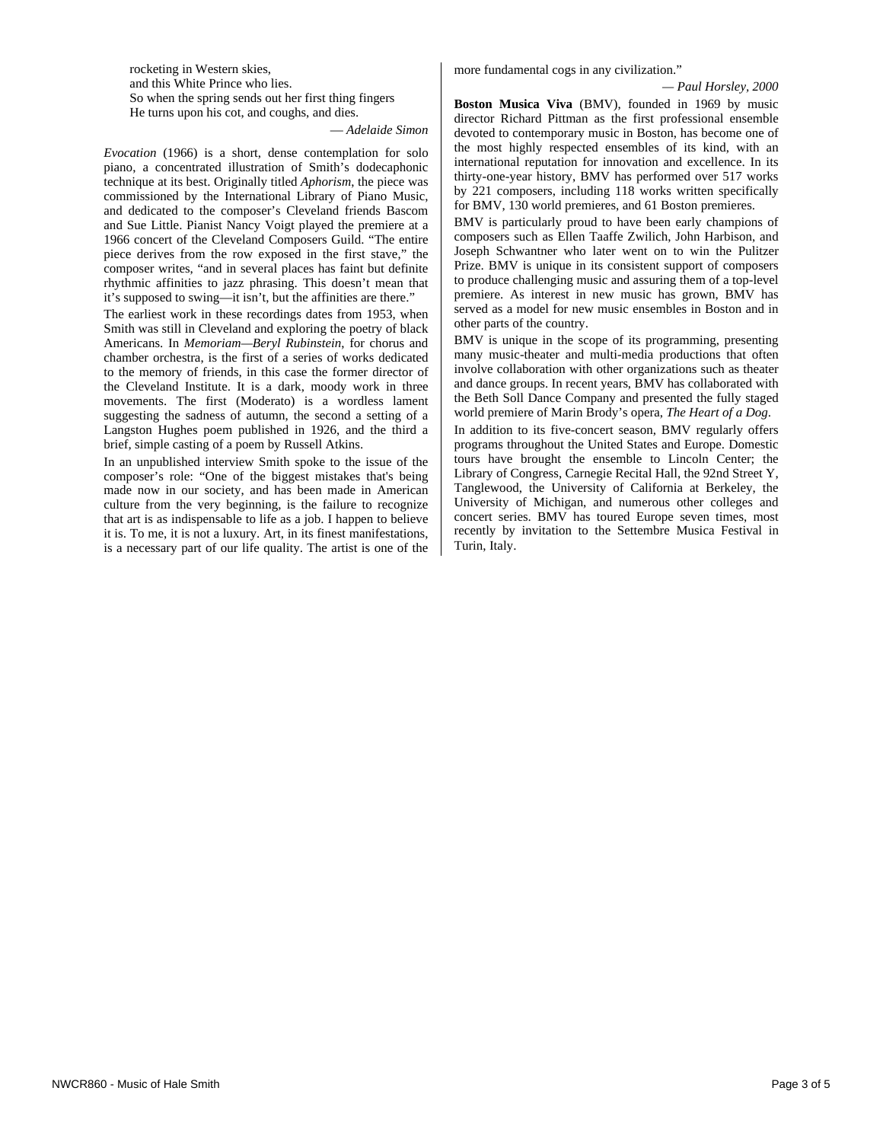rocketing in Western skies, and this White Prince who lies. So when the spring sends out her first thing fingers He turns upon his cot, and coughs, and dies.

— *Adelaide Simon* 

*Evocation* (1966) is a short, dense contemplation for solo piano, a concentrated illustration of Smith's dodecaphonic technique at its best. Originally titled *Aphorism*, the piece was commissioned by the International Library of Piano Music, and dedicated to the composer's Cleveland friends Bascom and Sue Little. Pianist Nancy Voigt played the premiere at a 1966 concert of the Cleveland Composers Guild. "The entire piece derives from the row exposed in the first stave," the composer writes, "and in several places has faint but definite rhythmic affinities to jazz phrasing. This doesn't mean that it's supposed to swing—it isn't, but the affinities are there."

The earliest work in these recordings dates from 1953, when Smith was still in Cleveland and exploring the poetry of black Americans. In *Memoriam—Beryl Rubinstein*, for chorus and chamber orchestra, is the first of a series of works dedicated to the memory of friends, in this case the former director of the Cleveland Institute. It is a dark, moody work in three movements. The first (Moderato) is a wordless lament suggesting the sadness of autumn, the second a setting of a Langston Hughes poem published in 1926, and the third a brief, simple casting of a poem by Russell Atkins.

In an unpublished interview Smith spoke to the issue of the composer's role: "One of the biggest mistakes that's being made now in our society, and has been made in American culture from the very beginning, is the failure to recognize that art is as indispensable to life as a job. I happen to believe it is. To me, it is not a luxury. Art, in its finest manifestations, is a necessary part of our life quality. The artist is one of the

more fundamental cogs in any civilization."

#### *— Paul Horsley, 2000*

**Boston Musica Viva** (BMV), founded in 1969 by music director Richard Pittman as the first professional ensemble devoted to contemporary music in Boston, has become one of the most highly respected ensembles of its kind, with an international reputation for innovation and excellence. In its thirty-one-year history, BMV has performed over 517 works by 221 composers, including 118 works written specifically for BMV, 130 world premieres, and 61 Boston premieres.

BMV is particularly proud to have been early champions of composers such as Ellen Taaffe Zwilich, John Harbison, and Joseph Schwantner who later went on to win the Pulitzer Prize. BMV is unique in its consistent support of composers to produce challenging music and assuring them of a top-level premiere. As interest in new music has grown, BMV has served as a model for new music ensembles in Boston and in other parts of the country.

BMV is unique in the scope of its programming, presenting many music-theater and multi-media productions that often involve collaboration with other organizations such as theater and dance groups. In recent years, BMV has collaborated with the Beth Soll Dance Company and presented the fully staged world premiere of Marin Brody's opera, *The Heart of a Dog*.

In addition to its five-concert season, BMV regularly offers programs throughout the United States and Europe. Domestic tours have brought the ensemble to Lincoln Center; the Library of Congress, Carnegie Recital Hall, the 92nd Street Y, Tanglewood, the University of California at Berkeley, the University of Michigan, and numerous other colleges and concert series. BMV has toured Europe seven times, most recently by invitation to the Settembre Musica Festival in Turin, Italy.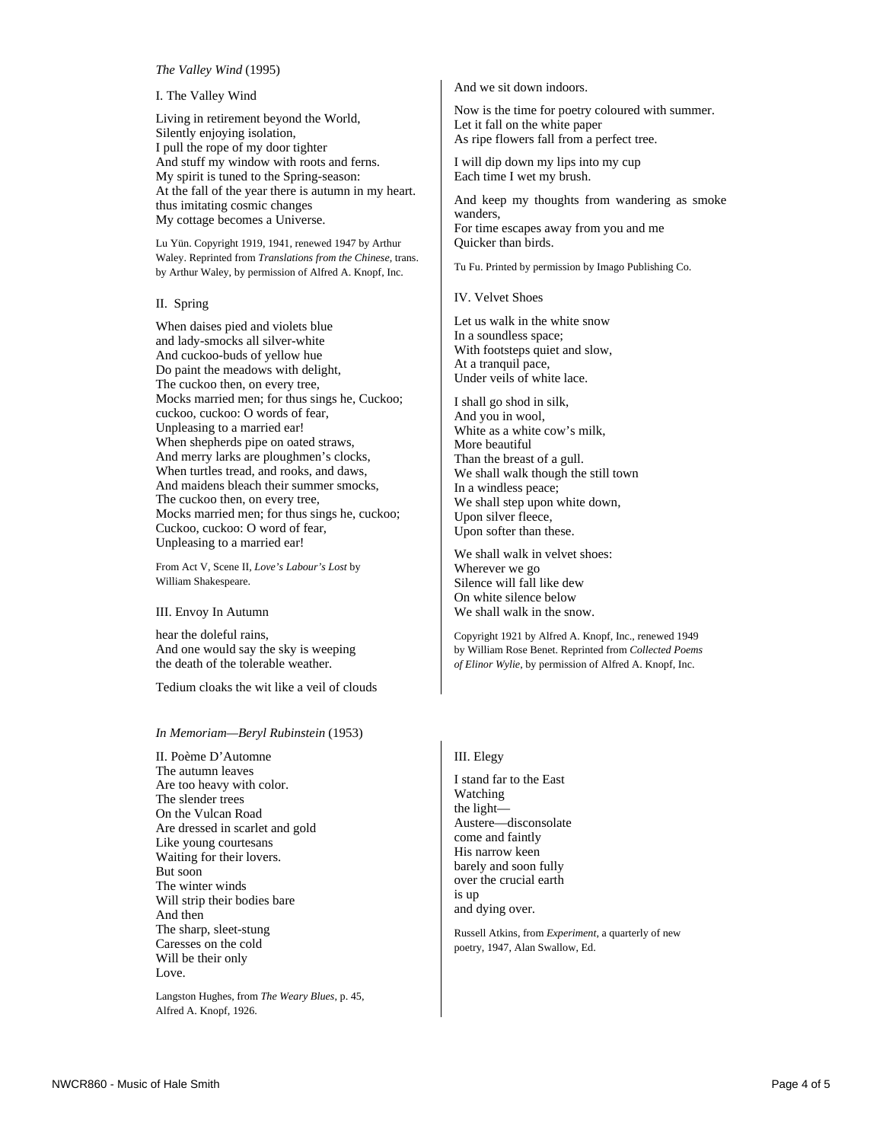#### *The Valley Wind* (1995)

I. The Valley Wind

Living in retirement beyond the World, Silently enjoying isolation, I pull the rope of my door tighter And stuff my window with roots and ferns. My spirit is tuned to the Spring-season: At the fall of the year there is autumn in my heart. thus imitating cosmic changes My cottage becomes a Universe.

Lu Yün. Copyright 1919, 1941, renewed 1947 by Arthur Waley. Reprinted from *Translations from the Chinese*, trans. by Arthur Waley, by permission of Alfred A. Knopf, Inc.

II. Spring

When daises pied and violets blue and lady-smocks all silver-white And cuckoo-buds of yellow hue Do paint the meadows with delight, The cuckoo then, on every tree, Mocks married men; for thus sings he, Cuckoo; cuckoo, cuckoo: O words of fear, Unpleasing to a married ear! When shepherds pipe on oated straws, And merry larks are ploughmen's clocks, When turtles tread, and rooks, and daws, And maidens bleach their summer smocks, The cuckoo then, on every tree, Mocks married men; for thus sings he, cuckoo; Cuckoo, cuckoo: O word of fear, Unpleasing to a married ear!

From Act V, Scene II, *Love's Labour's Lost* by William Shakespeare.

III. Envoy In Autumn

hear the doleful rains, And one would say the sky is weeping the death of the tolerable weather.

Tedium cloaks the wit like a veil of clouds

#### *In Memoriam—Beryl Rubinstein* (1953)

II. Poème D'Automne The autumn leaves Are too heavy with color. The slender trees On the Vulcan Road Are dressed in scarlet and gold Like young courtesans Waiting for their lovers. But soon The winter winds Will strip their bodies bare And then The sharp, sleet-stung Caresses on the cold Will be their only Love.

Langston Hughes, from *The Weary Blues*, p. 45, Alfred A. Knopf, 1926.

And we sit down indoors.

Now is the time for poetry coloured with summer. Let it fall on the white paper As ripe flowers fall from a perfect tree.

I will dip down my lips into my cup Each time I wet my brush.

And keep my thoughts from wandering as smoke wanders, For time escapes away from you and me Quicker than birds.

Tu Fu. Printed by permission by Imago Publishing Co.

IV. Velvet Shoes

Let us walk in the white snow In a soundless space; With footsteps quiet and slow, At a tranquil pace, Under veils of white lace.

I shall go shod in silk, And you in wool, White as a white cow's milk, More beautiful Than the breast of a gull. We shall walk though the still town In a windless peace; We shall step upon white down, Upon silver fleece, Upon softer than these.

We shall walk in velvet shoes: Wherever we go Silence will fall like dew On white silence below We shall walk in the snow.

Copyright 1921 by Alfred A. Knopf, Inc., renewed 1949 by William Rose Benet. Reprinted from *Collected Poems of Elinor Wylie*, by permission of Alfred A. Knopf, Inc.

#### III. Elegy

I stand far to the East Watching the light— Austere—disconsolate come and faintly His narrow keen barely and soon fully over the crucial earth is up and dying over.

Russell Atkins, from *Experiment*, a quarterly of new poetry, 1947, Alan Swallow, Ed.